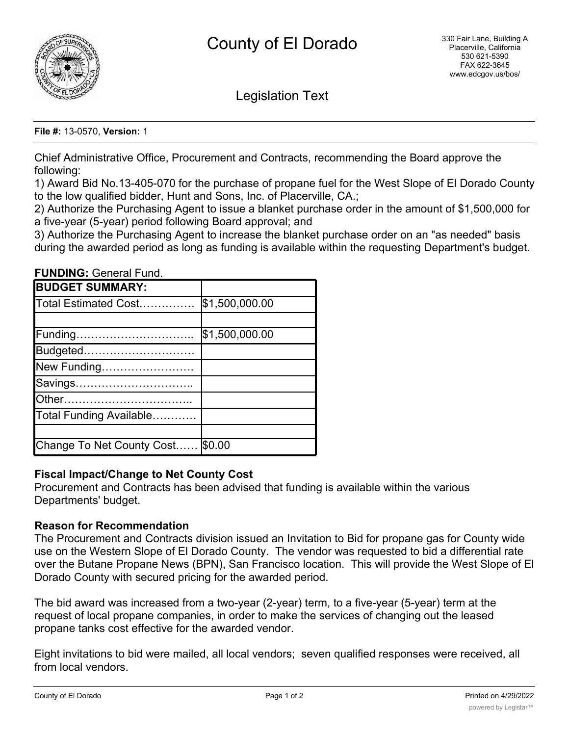

Legislation Text

#### **File #:** 13-0570, **Version:** 1

Chief Administrative Office, Procurement and Contracts, recommending the Board approve the following:

1) Award Bid No.13-405-070 for the purchase of propane fuel for the West Slope of El Dorado County to the low qualified bidder, Hunt and Sons, Inc. of Placerville, CA.;

2) Authorize the Purchasing Agent to issue a blanket purchase order in the amount of \$1,500,000 for a five-year (5-year) period following Board approval; and

3) Authorize the Purchasing Agent to increase the blanket purchase order on an "as needed" basis during the awarded period as long as funding is available within the requesting Department's budget.

**FUNDING:** General Fund.

| <b>BUDGET SUMMARY:</b>    |                |
|---------------------------|----------------|
| Total Estimated Cost      | \$1,500,000.00 |
|                           |                |
| Funding                   | \$1,500,000.00 |
| Budgeted                  |                |
| New Funding               |                |
| Savings                   |                |
| lOther                    |                |
| Total Funding Available   |                |
|                           |                |
| Change To Net County Cost | \$0.00         |

## **Fiscal Impact/Change to Net County Cost**

Procurement and Contracts has been advised that funding is available within the various Departments' budget.

## **Reason for Recommendation**

The Procurement and Contracts division issued an Invitation to Bid for propane gas for County wide use on the Western Slope of El Dorado County. The vendor was requested to bid a differential rate over the Butane Propane News (BPN), San Francisco location. This will provide the West Slope of El Dorado County with secured pricing for the awarded period.

The bid award was increased from a two-year (2-year) term, to a five-year (5-year) term at the request of local propane companies, in order to make the services of changing out the leased propane tanks cost effective for the awarded vendor.

Eight invitations to bid were mailed, all local vendors; seven qualified responses were received, all from local vendors.